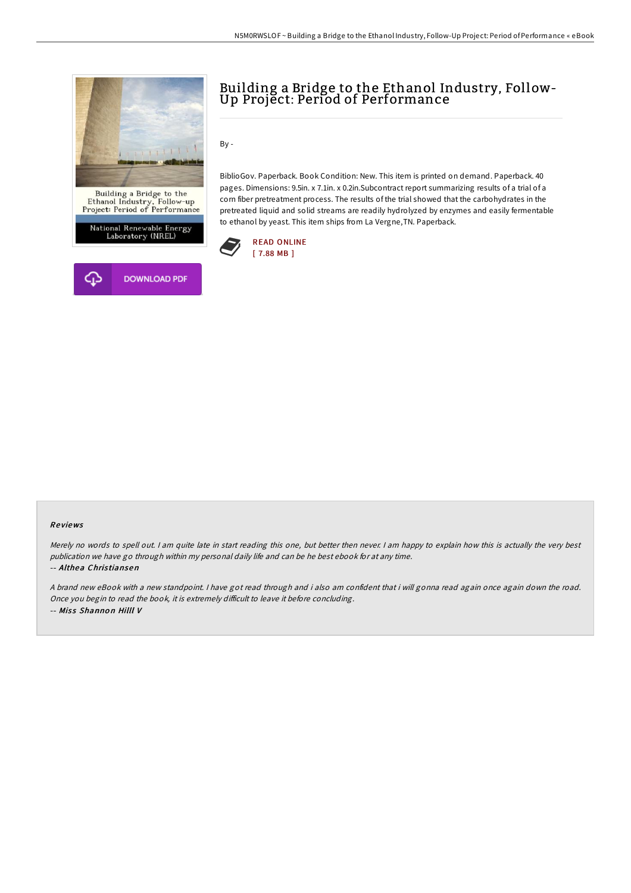



# Building <sup>a</sup> Bridge to the Ethanol Industry, Follow- Up Project: Period of Performance

By -

BiblioGov. Paperback. Book Condition: New. This item is printed on demand. Paperback. 40 pages. Dimensions: 9.5in. x 7.1in. x 0.2in.Subcontract report summarizing results of a trial of a corn fiber pretreatment process. The results of the trial showed that the carbohydrates in the pretreated liquid and solid streams are readily hydrolyzed by enzymes and easily fermentable to ethanol by yeast. This item ships from La Vergne,TN. Paperback.



#### Re views

Merely no words to spell out. I am quite late in start reading this one, but better then never. I am happy to explain how this is actually the very best publication we have go through within my personal daily life and can be he best ebook for at any time. -- Althea Chris tiansen

<sup>A</sup> brand new eBook with <sup>a</sup> new standpoint. <sup>I</sup> have got read through and i also am confident that i will gonna read again once again down the road. Once you begin to read the book, it is extremely difficult to leave it before concluding. -- Miss Shannon Hilll V